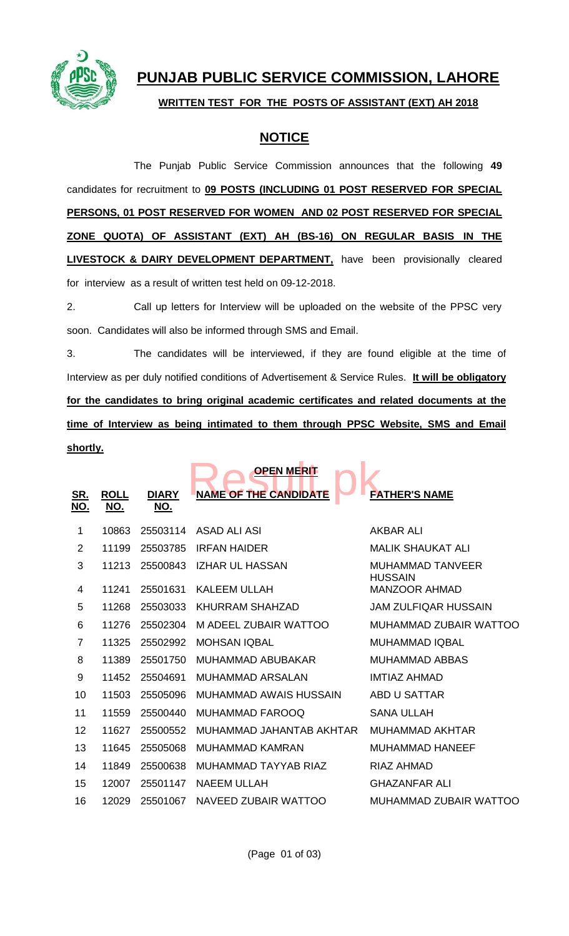

# **PUNJAB PUBLIC SERVICE COMMISSION, LAHORE**

#### **WRITTEN TEST FOR THE POSTS OF ASSISTANT (EXT) AH 2018**

## **NOTICE**

The Punjab Public Service Commission announces that the following **49** candidates for recruitment to **09 POSTS (INCLUDING 01 POST RESERVED FOR SPECIAL PERSONS, 01 POST RESERVED FOR WOMEN AND 02 POST RESERVED FOR SPECIAL ZONE QUOTA) OF ASSISTANT (EXT) AH (BS-16) ON REGULAR BASIS IN THE LIVESTOCK & DAIRY DEVELOPMENT DEPARTMENT**, have been provisionally cleared for interview as a result of written test held on 09-12-2018.

2. Call up letters for Interview will be uploaded on the website of the PPSC very soon. Candidates will also be informed through SMS and Email.

3. The candidates will be interviewed, if they are found eligible at the time of Interview as per duly notified conditions of Advertisement & Service Rules. **It will be obligatory for the candidates to bring original academic certificates and related documents at the time of Interview as being intimated to them through PPSC Website, SMS and Email shortly.**

|                          |                           |                            | <b>OPEN MERIT</b>            |                                           |
|--------------------------|---------------------------|----------------------------|------------------------------|-------------------------------------------|
| <u>SR.</u><br><u>NO.</u> | <b>ROLL</b><br><u>NO.</u> | <b>DIARY</b><br><u>NO.</u> | <b>NAME OF THE CANDIDATE</b> | <b>FATHER'S NAME</b>                      |
| 1                        | 10863                     | 25503114                   | ASAD ALI ASI                 | <b>AKBAR ALI</b>                          |
| 2                        | 11199                     | 25503785                   | <b>IRFAN HAIDER</b>          | <b>MALIK SHAUKAT ALI</b>                  |
| 3                        | 11213                     | 25500843                   | <b>IZHAR UL HASSAN</b>       | <b>MUHAMMAD TANVEER</b><br><b>HUSSAIN</b> |
| 4                        | 11241                     | 25501631                   | <b>KALEEM ULLAH</b>          | <b>MANZOOR AHMAD</b>                      |
| 5                        | 11268                     | 25503033                   | KHURRAM SHAHZAD              | <b>JAM ZULFIQAR HUSSAIN</b>               |
| 6                        | 11276                     | 25502304                   | M ADEEL ZUBAIR WATTOO        | MUHAMMAD ZUBAIR WATTOO                    |
| $\overline{7}$           | 11325                     | 25502992                   | <b>MOHSAN IQBAL</b>          | <b>MUHAMMAD IQBAL</b>                     |
| 8                        | 11389                     | 25501750                   | <b>MUHAMMAD ABUBAKAR</b>     | <b>MUHAMMAD ABBAS</b>                     |
| 9                        | 11452                     | 25504691                   | <b>MUHAMMAD ARSALAN</b>      | <b>IMTIAZ AHMAD</b>                       |
| 10                       | 11503                     | 25505096                   | MUHAMMAD AWAIS HUSSAIN       | <b>ABD U SATTAR</b>                       |
| 11                       | 11559                     | 25500440                   | MUHAMMAD FAROOQ              | <b>SANA ULLAH</b>                         |
| 12                       | 11627                     | 25500552                   | MUHAMMAD JAHANTAB AKHTAR     | <b>MUHAMMAD AKHTAR</b>                    |
| 13                       | 11645                     | 25505068                   | MUHAMMAD KAMRAN              | <b>MUHAMMAD HANEEF</b>                    |
| 14                       | 11849                     | 25500638                   | MUHAMMAD TAYYAB RIAZ         | RIAZ AHMAD                                |
| 15                       | 12007                     | 25501147                   | <b>NAEEM ULLAH</b>           | <b>GHAZANFAR ALI</b>                      |
| 16                       | 12029                     | 25501067                   | NAVEED ZUBAIR WATTOO         | MUHAMMAD ZUBAIR WATTOO                    |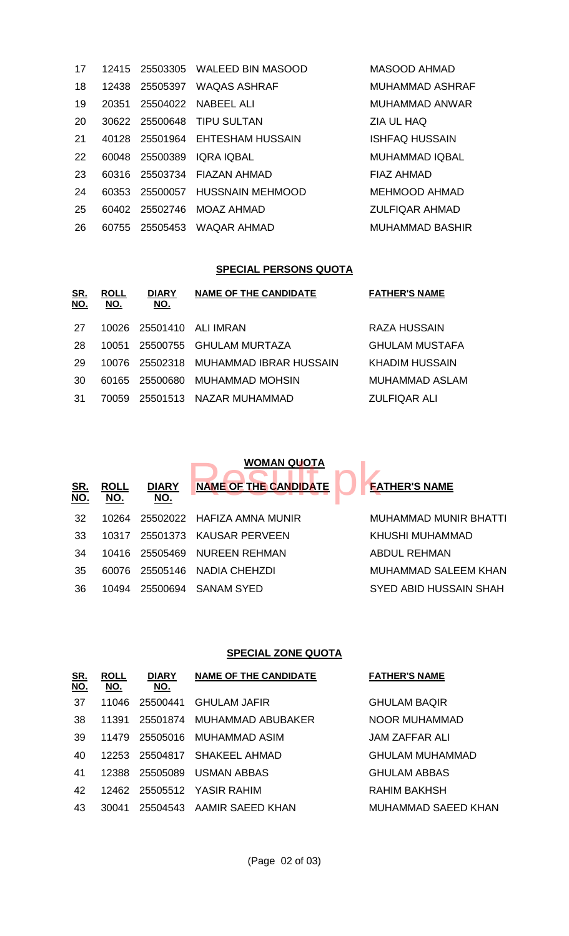| 17 | 12415 |          | 25503305 WALEED BIN MASOOD      | <b>MASOOD AHMAD</b>    |
|----|-------|----------|---------------------------------|------------------------|
| 18 | 12438 |          | 25505397 WAQAS ASHRAF           | <b>MUHAMMAD ASHRAF</b> |
| 19 | 20351 |          | 25504022 NABEEL ALI             | MUHAMMAD ANWAR         |
| 20 |       |          | 30622 25500648 TIPU SULTAN      | ZIA UL HAQ             |
| 21 |       |          | 40128 25501964 EHTESHAM HUSSAIN | <b>ISHFAQ HUSSAIN</b>  |
| 22 | 60048 | 25500389 | IQRA IQBAL                      | <b>MUHAMMAD IQBAL</b>  |
| 23 | 60316 |          | 25503734 FIAZAN AHMAD           | FIAZ AHMAD             |
| 24 |       |          | 60353 25500057 HUSSNAIN MEHMOOD | <b>MEHMOOD AHMAD</b>   |
| 25 | 60402 |          | 25502746 MOAZ AHMAD             | <b>ZULFIQAR AHMAD</b>  |
| 26 | 60755 |          | 25505453 WAQAR AHMAD            | <b>MUHAMMAD BASHIR</b> |

### **SPECIAL PERSONS QUOTA**

| <u>SR.</u><br><u>NO.</u> | <b>ROLL</b><br>NO. | <b>DIARY</b><br><u>NO.</u> | <b>NAME OF THE CANDIDATE</b>    | <b>FATHER'S NAME</b>  |
|--------------------------|--------------------|----------------------------|---------------------------------|-----------------------|
| 27                       |                    |                            | 10026 25501410 ALI IMRAN        | RAZA HUSSAIN          |
| -28                      | 10051              |                            | 25500755 GHULAM MURTAZA         | GHULAM MUSTAFA        |
| 29                       | 10076.             |                            | 25502318 MUHAMMAD IBRAR HUSSAIN | KHADIM HUSSAIN        |
| 30                       |                    |                            | 60165 25500680 MUHAMMAD MOHSIN  | <b>MUHAMMAD ASLAM</b> |
| -31                      | 70059              |                            | 25501513 NAZAR MUHAMMAD         | ZULFIQAR ALI          |
|                          |                    |                            |                                 |                       |

|                   |                           |                            | <b>WOMAN QUOTA</b>           |                        |
|-------------------|---------------------------|----------------------------|------------------------------|------------------------|
| <u>SR.</u><br>NO. | <b>ROLL</b><br><u>NO.</u> | <b>DIARY</b><br><u>NO.</u> | <b>NAME OF THE CANDIDATE</b> | <b>FATHER'S NAME</b>   |
| 32                | 10264                     |                            | 25502022 HAFIZA AMNA MUNIR   | MUHAMMAD MUNIR BHATTI  |
| 33                | 10317                     |                            | 25501373 KAUSAR PERVEEN      | KHUSHI MUHAMMAD        |
| 34                |                           | 10416 25505469             | NUREEN REHMAN                | ABDUL REHMAN           |
| 35                | 60076                     | 25505146                   | NADIA CHEHZDI                | MUHAMMAD SALEEM KHAN   |
| 36                | 10494                     | 25500694                   | <b>SANAM SYED</b>            | SYED ABID HUSSAIN SHAH |
|                   |                           |                            |                              |                        |

#### **SPECIAL ZONE QUOTA**

| <u>SR.</u><br><u>NO.</u> | <b>ROLL</b><br><u>NO.</u> | <b>DIARY</b><br><u>NO.</u> | <b>NAME OF THE CANDIDATE</b> | <b>FATHER'S NAME</b> |
|--------------------------|---------------------------|----------------------------|------------------------------|----------------------|
| 37                       | 11046                     | 25500441                   | <b>GHULAM JAFIR</b>          | <b>GHULAM BAQIR</b>  |
| 38                       | 11391                     | 25501874                   | MUHAMMAD ABUBAKER            | NOOR MUHAMMAD        |
| 39                       | 11479                     | 25505016                   | MUHAMMAD ASIM                | JAM ZAFFAR ALI       |
| 40                       | 12253                     | 25504817                   | SHAKEEL AHMAD                | GHULAM MUHAMMAD      |
| 41                       | 12388                     | 25505089                   | USMAN ABBAS                  | <b>GHULAM ABBAS</b>  |
| 42                       | 12462                     |                            | 25505512 YASIR RAHIM         | RAHIM BAKHSH         |
| 43                       | 30041                     | 25504543                   | AAMIR SAEED KHAN             | MUHAMMAD SAEED KHAN  |